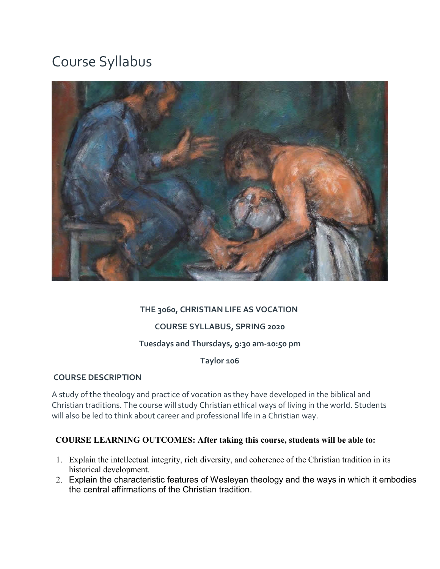# Course Syllabus



## **THE 3060, CHRISTIAN LIFE AS VOCATION**

#### **COURSE SYLLABUS, SPRING 2020**

#### **Tuesdays and Thursdays, 9:30 am-10:50 pm**

**Taylor 106**

#### **COURSE DESCRIPTION**

A study of the theology and practice of vocation as they have developed in the biblical and Christian traditions. The course will study Christian ethical ways of living in the world. Students will also be led to think about career and professional life in a Christian way.

#### **COURSE LEARNING OUTCOMES: After taking this course, students will be able to:**

- 1. Explain the intellectual integrity, rich diversity, and coherence of the Christian tradition in its historical development.
- 2. Explain the characteristic features of Wesleyan theology and the ways in which it embodies the central affirmations of the Christian tradition.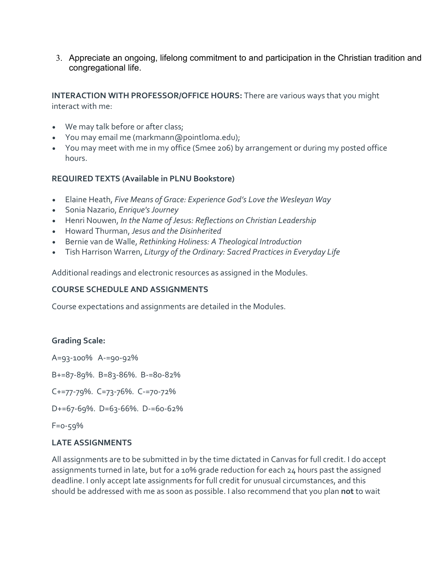3. Appreciate an ongoing, lifelong commitment to and participation in the Christian tradition and congregational life.

**INTERACTION WITH PROFESSOR/OFFICE HOURS:** There are various ways that you might interact with me:

- We may talk before or after class;
- You may email me (markmann@pointloma.edu);
- You may meet with me in my office (Smee 206) by arrangement or during my posted office hours.

#### **REQUIRED TEXTS (Available in PLNU Bookstore)**

- Elaine Heath, *Five Means of Grace: Experience God's Love the Wesleyan Way*
- Sonia Nazario, *Enrique's Journey*
- Henri Nouwen, *In the Name of Jesus: Reflections on Christian Leadership*
- Howard Thurman, *Jesus and the Disinherited*
- Bernie van de Walle, *Rethinking Holiness: A Theological Introduction*
- Tish Harrison Warren, *Liturgy of the Ordinary: Sacred Practices in Everyday Life*

Additional readings and electronic resources as assigned in the Modules.

#### **COURSE SCHEDULE AND ASSIGNMENTS**

Course expectations and assignments are detailed in the Modules.

#### **Grading Scale:**

A=93-100% A-=90-92%

B+=87-89%. B=83-86%. B-=80-82%

C+=77-79%. C=73-76%. C-=70-72%

D+=67-69%. D=63-66%. D-=60-62%

F=0-59%

#### **LATE ASSIGNMENTS**

All assignments are to be submitted in by the time dictated in Canvas for full credit. I do accept assignments turned in late, but for a 10% grade reduction for each 24 hours past the assigned deadline. I only accept late assignments for full credit for unusual circumstances, and this should be addressed with me as soon as possible. I also recommend that you plan **not** to wait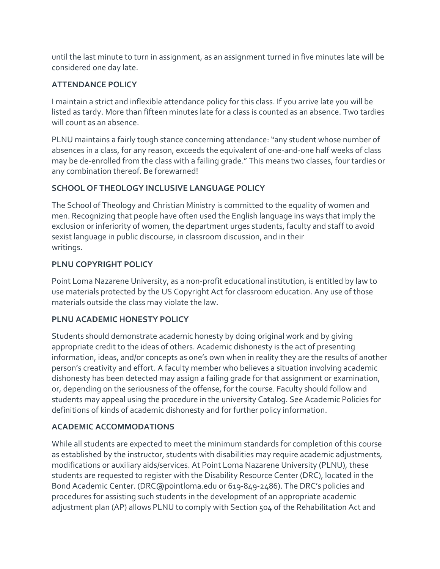until the last minute to turn in assignment, as an assignment turned in five minutes late will be considered one day late.

# **ATTENDANCE POLICY**

I maintain a strict and inflexible attendance policy for this class. If you arrive late you will be listed as tardy. More than fifteen minutes late for a class is counted as an absence. Two tardies will count as an absence.

PLNU maintains a fairly tough stance concerning attendance: "any student whose number of absences in a class, for any reason, exceeds the equivalent of one-and-one half weeks of class may be de-enrolled from the class with a failing grade." This means two classes, four tardies or any combination thereof. Be forewarned!

# **SCHOOL OF THEOLOGY INCLUSIVE LANGUAGE POLICY**

The School of Theology and Christian Ministry is committed to the equality of women and men. Recognizing that people have often used the English language ins ways that imply the exclusion or inferiority of women, the department urges students, faculty and staff to avoid sexist language in public discourse, in classroom discussion, and in their writings.

## **PLNU COPYRIGHT POLICY**

Point Loma Nazarene University, as a non-profit educational institution, is entitled by law to use materials protected by the US Copyright Act for classroom education. Any use of those materials outside the class may violate the law.

### **PLNU ACADEMIC HONESTY POLICY**

Students should demonstrate academic honesty by doing original work and by giving appropriate credit to the ideas of others. Academic dishonesty is the act of presenting information, ideas, and/or concepts as one's own when in reality they are the results of another person's creativity and effort. A faculty member who believes a situation involving academic dishonesty has been detected may assign a failing grade for that assignment or examination, or, depending on the seriousness of the offense, for the course. Faculty should follow and students may appeal using the procedure in the university Catalog. See Academic Policies for definitions of kinds of academic dishonesty and for further policy information.

# **ACADEMIC ACCOMMODATIONS**

While all students are expected to meet the minimum standards for completion of this course as established by the instructor, students with disabilities may require academic adjustments, modifications or auxiliary aids/services. At Point Loma Nazarene University (PLNU), these students are requested to register with the Disability Resource Center (DRC), located in the Bond Academic Center. (DRC@pointloma.edu or 619-849-2486). The DRC's policies and procedures for assisting such students in the development of an appropriate academic adjustment plan (AP) allows PLNU to comply with Section 504 of the Rehabilitation Act and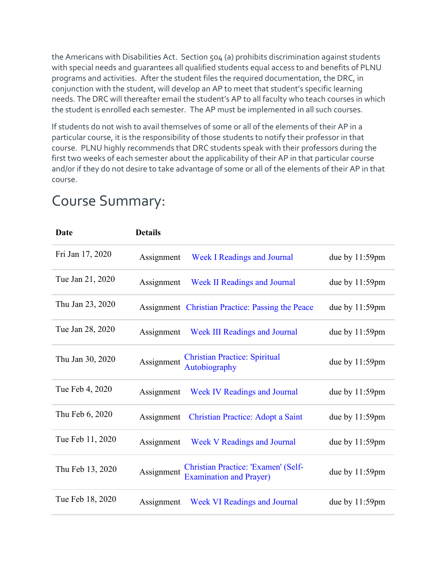the Americans with Disabilities Act. Section 504 (a) prohibits discrimination against students with special needs and guarantees all qualified students equal access to and benefits of PLNU programs and activities. After the student files the required documentation, the DRC, in conjunction with the student, will develop an AP to meet that student's specific learning needs. The DRC will thereafter email the student's AP to all faculty who teach courses in which the student is enrolled each semester. The AP must be implemented in all such courses.

If students do not wish to avail themselves of some or all of the elements of their AP in a particular course, it is the responsibility of those students to notify their professor in that course. PLNU highly recommends that DRC students speak with their professors during the first two weeks of each semester about the applicability of their AP in that particular course and/or if they do not desire to take advantage of some or all of the elements of their AP in that course.

| <b>Date</b>      | <b>Details</b>                                                                      |                   |
|------------------|-------------------------------------------------------------------------------------|-------------------|
| Fri Jan 17, 2020 | <b>Week I Readings and Journal</b><br>Assignment                                    | due by 11:59pm    |
| Tue Jan 21, 2020 | <b>Week II Readings and Journal</b><br>Assignment                                   | due by $11:59$ pm |
| Thu Jan 23, 2020 | Assignment Christian Practice: Passing the Peace                                    | due by $11:59$ pm |
| Tue Jan 28, 2020 | Week III Readings and Journal<br>Assignment                                         | due by $11:59$ pm |
| Thu Jan 30, 2020 | <b>Christian Practice: Spiritual</b><br>Assignment<br>Autobiography                 | due by 11:59pm    |
| Tue Feb 4, 2020  | <b>Week IV Readings and Journal</b><br>Assignment                                   | due by $11:59$ pm |
| Thu Feb 6, 2020  | <b>Christian Practice: Adopt a Saint</b><br>Assignment                              | due by $11:59$ pm |
| Tue Feb 11, 2020 | <b>Week V Readings and Journal</b><br>Assignment                                    | due by $11:59$ pm |
| Thu Feb 13, 2020 | Christian Practice: 'Examen' (Self-<br>Assignment<br><b>Examination and Prayer)</b> | due by $11:59$ pm |
| Tue Feb 18, 2020 | <b>Week VI Readings and Journal</b><br>Assignment                                   | due by $11:59$ pm |

# Course Summary: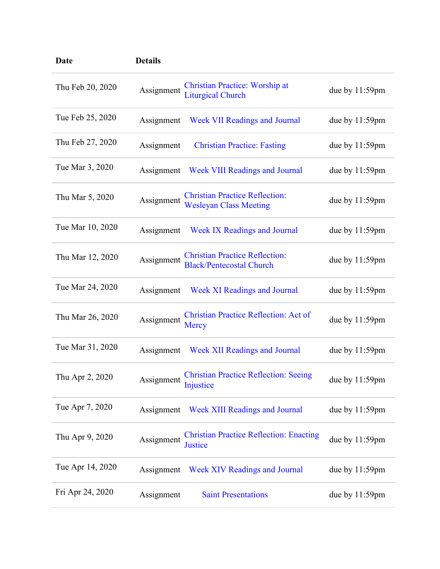| <b>Date</b>      | <b>Details</b> |                                                                          |                   |
|------------------|----------------|--------------------------------------------------------------------------|-------------------|
| Thu Feb 20, 2020 | Assignment     | <b>Christian Practice: Worship at</b><br><b>Liturgical Church</b>        | due by $11:59$ pm |
| Tue Feb 25, 2020 | Assignment     | <b>Week VII Readings and Journal</b>                                     | due by $11:59$ pm |
| Thu Feb 27, 2020 | Assignment     | <b>Christian Practice: Fasting</b>                                       | due by $11:59$ pm |
| Tue Mar 3, 2020  | Assignment     | Week VIII Readings and Journal                                           | due by $11:59$ pm |
| Thu Mar 5, 2020  | Assignment     | <b>Christian Practice Reflection:</b><br><b>Wesleyan Class Meeting</b>   | due by $11:59$ pm |
| Tue Mar 10, 2020 | Assignment     | <b>Week IX Readings and Journal</b>                                      | due by $11:59$ pm |
| Thu Mar 12, 2020 | Assignment     | <b>Christian Practice Reflection:</b><br><b>Black/Pentecostal Church</b> | due by 11:59pm    |
| Tue Mar 24, 2020 | Assignment     | <b>Week XI Readings and Journal</b>                                      | due by $11:59$ pm |
| Thu Mar 26, 2020 | Assignment     | Christian Practice Reflection: Act of<br>Mercy                           | due by $11:59$ pm |
| Tue Mar 31, 2020 | Assignment     | <b>Week XII Readings and Journal</b>                                     | due by $11:59$ pm |
| Thu Apr 2, 2020  | Assignment     | <b>Christian Practice Reflection: Seeing</b><br>Injustice                | due by $11:59$ pm |
| Tue Apr 7, 2020  | Assignment     | <b>Week XIII Readings and Journal</b>                                    | due by 11:59pm    |
| Thu Apr 9, 2020  | Assignment     | <b>Christian Practice Reflection: Enacting</b><br>Justice                | due by $11:59$ pm |
| Tue Apr 14, 2020 | Assignment     | <b>Week XIV Readings and Journal</b>                                     | due by $11:59$ pm |
| Fri Apr 24, 2020 | Assignment     | <b>Saint Presentations</b>                                               | due by $11:59$ pm |